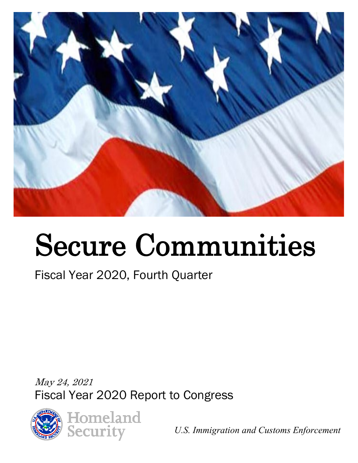

# Secure Communities

## Fiscal Year 2020, Fourth Quarter

May 24, 2021 Fiscal Year 2020 Report to Congress



*U.S. Immigration and Customs Enforcement*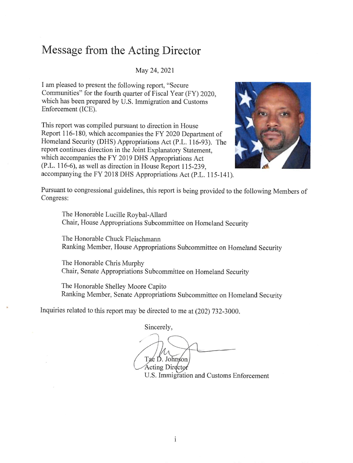#### **Message from the Acting Director**

May 24, 2021

I am pleased to present the following report, "Secure Communities" for the fourth quarter of Fiscal Year (FY) 2020, which has been prepared by U.S. Immigration and Customs Enforcement (ICE).

This report was compiled pursuant to direction in House Report 116-180, which accompanies the FY 2020 Department of Homeland Security (OHS) Appropriations Act (P.L. 116-93). The report continues direction in the Joint Explanatory Statement, which accompanies the FY 2019 OHS Appropriations Act (P.L. 116-6), as well as direction in House Report 115-239, accompanying the FY 2018 OHS Appropriations Act (P.L. 115-141).



Pursuant to congressional guidelines, this report is being provided to the following Members of Congress:

The Honorable Lucille Roybal-Allard Chair, House Appropriations Subcommittee on Homeland Security

The Honorable Chuck Fleischmann Ranking Member, House Appropriations Subcommittee on Homeland Security

The Honorable Chris Murphy Chair, Senate Appropriations Subcommittee on Homeland Security

The Honorable Shelley Moore Capito Ranking Member, Senate Appropriations Subcommittee on Homeland Security

Inquiries related to this report may be directed to me at (202) 732-3000.

Sincerely,

Tae D. Johnson

**Acting Director** U.S. Immigration and Customs Enforcement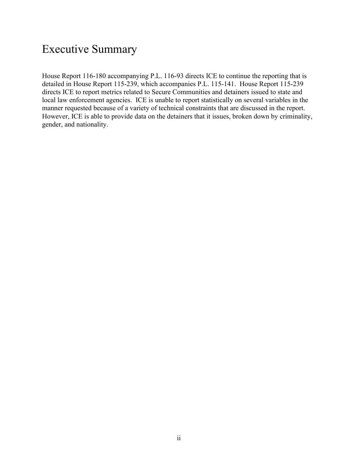#### Executive Summary

House Report 116-180 accompanying P.L. 116-93 directs ICE to continue the reporting that is detailed in House Report 115-239, which accompanies P.L. 115-141. House Report 115-239 directs ICE to report metrics related to Secure Communities and detainers issued to state and local law enforcement agencies. ICE is unable to report statistically on several variables in the manner requested because of a variety of technical constraints that are discussed in the report. However, ICE is able to provide data on the detainers that it issues, broken down by criminality, gender, and nationality.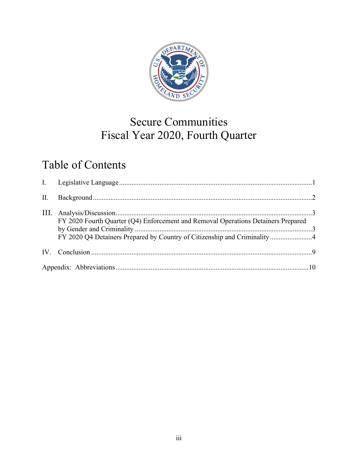

### Fiscal Year 2020, Fourth Quarter Secure Communities

#### Table of Contents

| FY 2020 Fourth Quarter (Q4) Enforcement and Removal Operations Detainers Prepared<br>FY 2020 Q4 Detainers Prepared by Country of Citizenship and Criminality4 |  |
|---------------------------------------------------------------------------------------------------------------------------------------------------------------|--|
|                                                                                                                                                               |  |
|                                                                                                                                                               |  |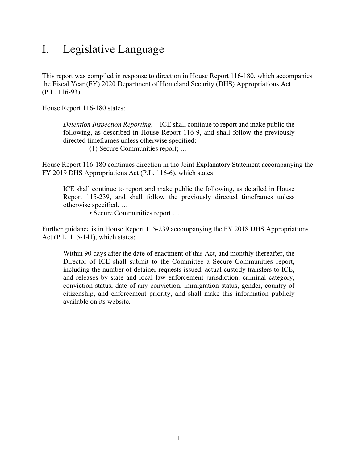#### <span id="page-4-0"></span>I. Legislative Language

This report was compiled in response to direction in House Report 116-180, which accompanies the Fiscal Year (FY) 2020 Department of Homeland Security (DHS) Appropriations Act (P.L. 116-93).

House Report 116-180 states:

*Detention Inspection Reporting.*—ICE shall continue to report and make public the following, as described in House Report 116-9, and shall follow the previously directed timeframes unless otherwise specified:

(1) Secure Communities report; …

House Report 116-180 continues direction in the Joint Explanatory Statement accompanying the FY 2019 DHS Appropriations Act (P.L. 116-6), which states:

ICE shall continue to report and make public the following, as detailed in House Report 115-239, and shall follow the previously directed timeframes unless otherwise specified. …

• Secure Communities report …

Further guidance is in House Report 115-239 accompanying the FY 2018 DHS Appropriations Act (P.L. 115-141), which states:

 Within 90 days after the date of enactment of this Act, and monthly thereafter, the Director of ICE shall submit to the Committee a Secure Communities report, including the number of detainer requests issued, actual custody transfers to ICE, and releases by state and local law enforcement jurisdiction, criminal category, conviction status, date of any conviction, immigration status, gender, country of citizenship, and enforcement priority, and shall make this information publicly available on its website.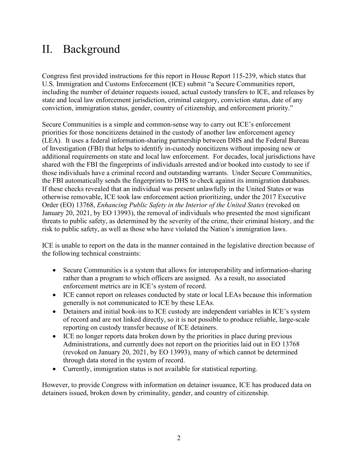#### <span id="page-5-0"></span>II. Background

Congress first provided instructions for this report in House Report 115-239, which states that U.S. Immigration and Customs Enforcement (ICE) submit "a Secure Communities report, including the number of detainer requests issued, actual custody transfers to ICE, and releases by state and local law enforcement jurisdiction, criminal category, conviction status, date of any conviction, immigration status, gender, country of citizenship, and enforcement priority."

Secure Communities is a simple and common-sense way to carry out ICE's enforcement priorities for those noncitizens detained in the custody of another law enforcement agency (LEA). It uses a federal information-sharing partnership between DHS and the Federal Bureau of Investigation (FBI) that helps to identify in-custody noncitizens without imposing new or additional requirements on state and local law enforcement. For decades, local jurisdictions have shared with the FBI the fingerprints of individuals arrested and/or booked into custody to see if those individuals have a criminal record and outstanding warrants. Under Secure Communities, the FBI automatically sends the fingerprints to DHS to check against its immigration databases. If these checks revealed that an individual was present unlawfully in the United States or was otherwise removable, ICE took law enforcement action prioritizing, under the 2017 Executive Order (EO) 13768, *Enhancing Public Safety in the Interior of the United States* (revoked on January 20, 2021, by EO 13993), the removal of individuals who presented the most significant threats to public safety, as determined by the severity of the crime, their criminal history, and the risk to public safety, as well as those who have violated the Nation's immigration laws.

 ICE is unable to report on the data in the manner contained in the legislative direction because of the following technical constraints:

- enforcement metrics are in ICE's system of record. • Secure Communities is a system that allows for interoperability and information-sharing rather than a program to which officers are assigned. As a result, no associated
- ICE cannot report on releases conducted by state or local LEAs because this information generally is not communicated to ICE by these LEAs.
- reporting on custody transfer because of ICE detainers. • Detainers and initial book-ins to ICE custody are independent variables in ICE's system of record and are not linked directly, so it is not possible to produce reliable, large-scale
- ICE no longer reports data broken down by the priorities in place during previous Administrations, and currently does not report on the priorities laid out in EO 13768 (revoked on January 20, 2021, by EO 13993), many of which cannot be determined through data stored in the system of record.
- Currently, immigration status is not available for statistical reporting.

 detainers issued, broken down by criminality, gender, and country of citizenship. However, to provide Congress with information on detainer issuance, ICE has produced data on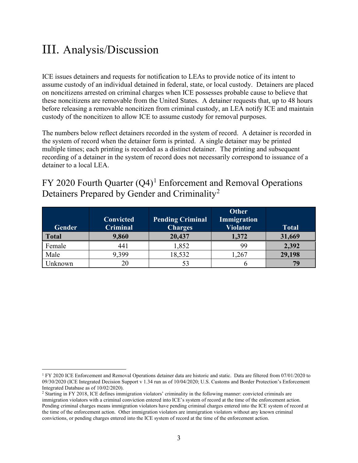#### <span id="page-6-0"></span>III. Analysis/Discussion

 these noncitizens are removable from the United States. A detainer requests that, up to 48 hours ICE issues detainers and requests for notification to LEAs to provide notice of its intent to assume custody of an individual detained in federal, state, or local custody. Detainers are placed on noncitizens arrested on criminal charges when ICE possesses probable cause to believe that before releasing a removable noncitizen from criminal custody, an LEA notify ICE and maintain custody of the noncitizen to allow ICE to assume custody for removal purposes.

detainer to a local LEA. The numbers below reflect detainers recorded in the system of record. A detainer is recorded in the system of record when the detainer form is printed. A single detainer may be printed multiple times; each printing is recorded as a distinct detainer. The printing and subsequent recording of a detainer in the system of record does not necessarily correspond to issuance of a

#### <span id="page-6-1"></span>FY 2020 Fourth Quarter  $(Q4)^1$  Enforcement and Removal Operations Detainers Prepared by Gender and Criminality<sup>2</sup>

| Gender       | <b>Convicted</b><br><b>Criminal</b> | <b>Pending Criminal</b><br><b>Charges</b> | <b>Other</b><br><b>Immigration</b><br><b>Violator</b> | <b>Total</b> |
|--------------|-------------------------------------|-------------------------------------------|-------------------------------------------------------|--------------|
| <b>Total</b> | 9,860                               | 20,437                                    | 1,372                                                 | 31,669       |
| Female       | 441                                 | 1,852                                     | 99                                                    | 2,392        |
| Male         | 9,399                               | 18,532                                    | ,267                                                  | 29,198       |
| Jnknown      | 20                                  |                                           |                                                       |              |

<span id="page-6-2"></span><sup>&</sup>lt;sup>1</sup> FY 2020 ICE Enforcement and Removal Operations detainer data are historic and static. Data are filtered from 07/01/2020 to 09/30/2020 (ICE Integrated Decision Support v 1.34 run as of 10/04/2020; U.S. Customs and Border Protection's Enforcement

<span id="page-6-3"></span>Integrated Database as of 10/02/2020).<br><sup>2</sup> Starting in FY 2018, ICE defines immigration violators' criminality in the following manner: convicted criminals are Pending criminal charges means immigration violators have pending criminal charges entered into the ICE system of record at the time of the enforcement action. Other immigration violators are immigration violators without any known criminal immigration violators with a criminal conviction entered into ICE's system of record at the time of the enforcement action. convictions, or pending charges entered into the ICE system of record at the time of the enforcement action.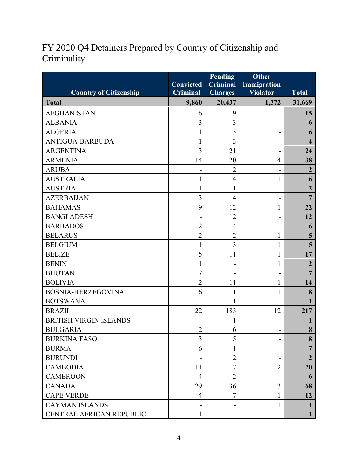#### <span id="page-7-0"></span>FY 2020 Q4 Detainers Prepared by Country of Citizenship and **Criminality**

|                               | <b>Convicted</b> | <b>Pending</b><br><b>Criminal</b> | <b>Other</b><br>Immigration |                         |
|-------------------------------|------------------|-----------------------------------|-----------------------------|-------------------------|
| <b>Country of Citizenship</b> | <b>Criminal</b>  | <b>Charges</b>                    | <b>Violator</b>             | <b>Total</b>            |
| <b>Total</b>                  | 9,860            | 20,437                            | 1,372                       | 31,669                  |
| <b>AFGHANISTAN</b>            | 6                | 9                                 |                             | 15                      |
| <b>ALBANIA</b>                | 3                | 3                                 |                             | 6                       |
| <b>ALGERIA</b>                | 1                | 5                                 | $\blacksquare$              | 6                       |
| <b>ANTIGUA-BARBUDA</b>        | $\mathbf{1}$     | 3                                 |                             | $\overline{\mathbf{4}}$ |
| <b>ARGENTINA</b>              | $\overline{3}$   | 21                                |                             | 24                      |
| <b>ARMENIA</b>                | 14               | 20                                | $\overline{4}$              | 38                      |
| <b>ARUBA</b>                  |                  | $\overline{2}$                    |                             | $\overline{2}$          |
| <b>AUSTRALIA</b>              | 1                | $\overline{4}$                    | 1                           | 6                       |
| <b>AUSTRIA</b>                |                  | $\mathbf{1}$                      |                             | $\overline{2}$          |
| <b>AZERBAIJAN</b>             | 3                | $\overline{4}$                    | -                           | $\overline{7}$          |
| <b>BAHAMAS</b>                | 9                | 12                                | 1                           | 22                      |
| <b>BANGLADESH</b>             |                  | 12                                |                             | 12                      |
| <b>BARBADOS</b>               | $\overline{2}$   | $\overline{4}$                    | -                           | 6                       |
| <b>BELARUS</b>                | $\overline{2}$   | $\overline{2}$                    | 1                           | 5                       |
| <b>BELGIUM</b>                | $\mathbf{1}$     | $\overline{3}$                    | 1                           | 5                       |
| <b>BELIZE</b>                 | 5                | 11                                | 1                           | 17                      |
| <b>BENIN</b>                  | 1                | $\qquad \qquad \blacksquare$      | 1                           | $\overline{2}$          |
| <b>BHUTAN</b>                 | $\overline{7}$   |                                   |                             | $\overline{7}$          |
| <b>BOLIVIA</b>                | $\overline{2}$   | 11                                | 1                           | 14                      |
| <b>BOSNIA-HERZEGOVINA</b>     | 6                | 1                                 | 1                           | 8                       |
| <b>BOTSWANA</b>               |                  | 1                                 |                             |                         |
| <b>BRAZIL</b>                 | 22               | 183                               | 12                          | 217                     |
| <b>BRITISH VIRGIN ISLANDS</b> |                  |                                   |                             |                         |
| <b>BULGARIA</b>               | $\overline{2}$   | 6                                 |                             | 8                       |
| <b>BURKINA FASO</b>           | 3                | 5                                 |                             | 8                       |
| <b>BURMA</b>                  | 6                | 1                                 |                             | $\overline{7}$          |
| <b>BURUNDI</b>                |                  | $\overline{2}$                    |                             | $\overline{2}$          |
| <b>CAMBODIA</b>               | 11               | $\overline{7}$                    | $\overline{2}$              | 20                      |
| <b>CAMEROON</b>               | $\overline{4}$   | $\overline{2}$                    |                             | 6                       |
| <b>CANADA</b>                 | 29               | 36                                | 3                           | 68                      |
| <b>CAPE VERDE</b>             | $\overline{4}$   | $\tau$                            | 1                           | 12                      |
| <b>CAYMAN ISLANDS</b>         |                  |                                   | 1                           | 1                       |
| CENTRAL AFRICAN REPUBLIC      | $\mathbf{1}$     |                                   |                             | $\mathbf{1}$            |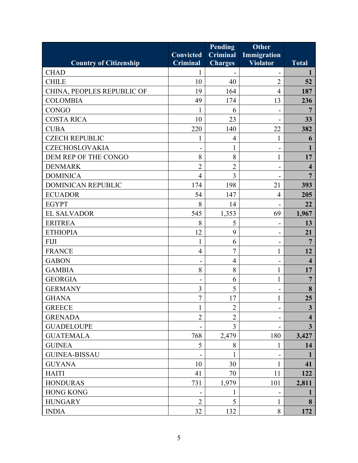|                               |                  | <b>Pending</b>  | <b>Other</b>             |                         |
|-------------------------------|------------------|-----------------|--------------------------|-------------------------|
|                               | <b>Convicted</b> | <b>Criminal</b> | Immigration              |                         |
| <b>Country of Citizenship</b> | <b>Criminal</b>  | <b>Charges</b>  | <b>Violator</b>          | <b>Total</b>            |
| <b>CHAD</b>                   | 1                |                 |                          | 1                       |
| <b>CHILE</b>                  | 10               | 40              | 2                        | 52                      |
| CHINA, PEOPLES REPUBLIC OF    | 19               | 164             | $\overline{4}$           | 187                     |
| <b>COLOMBIA</b>               | 49               | 174             | 13                       | 236                     |
| <b>CONGO</b>                  | 1                | 6               |                          | 7                       |
| <b>COSTA RICA</b>             | 10               | 23              |                          | 33                      |
| <b>CUBA</b>                   | 220              | 140             | 22                       | 382                     |
| <b>CZECH REPUBLIC</b>         | 1                | $\overline{4}$  | 1                        | 6                       |
| <b>CZECHOSLOVAKIA</b>         |                  | 1               | $\overline{\phantom{a}}$ |                         |
| DEM REP OF THE CONGO          | 8                | 8               | 1                        | 17                      |
| <b>DENMARK</b>                | $\overline{2}$   | $\overline{2}$  | $\blacksquare$           | $\overline{\mathbf{4}}$ |
| <b>DOMINICA</b>               | $\overline{4}$   | $\overline{3}$  |                          | 7                       |
| <b>DOMINICAN REPUBLIC</b>     | 174              | 198             | 21                       | 393                     |
| <b>ECUADOR</b>                | 54               | 147             | $\overline{4}$           | 205                     |
| <b>EGYPT</b>                  | 8                | 14              | $\overline{\phantom{a}}$ | 22                      |
| <b>EL SALVADOR</b>            | 545              | 1,353           | 69                       | 1,967                   |
| <b>ERITREA</b>                | 8                | 5               |                          | 13                      |
| <b>ETHIOPIA</b>               | 12               | 9               | $\overline{\phantom{a}}$ | 21                      |
| <b>FIJI</b>                   | 1                | 6               | $\blacksquare$           |                         |
| <b>FRANCE</b>                 | $\overline{4}$   | $\overline{7}$  | 1                        | 12                      |
| <b>GABON</b>                  | $\blacksquare$   | $\overline{4}$  | $\blacksquare$           | $\overline{\mathbf{4}}$ |
| <b>GAMBIA</b>                 | 8                | 8               | 1                        | 17                      |
| <b>GEORGIA</b>                |                  | 6               | $\mathbf{1}$             | $\overline{7}$          |
| <b>GERMANY</b>                | 3                | 5               |                          | 8                       |
| <b>GHANA</b>                  | 7                | 17              |                          | 25                      |
| <b>GREECE</b>                 | 1                | $\overline{2}$  | $\blacksquare$           | $\mathbf{3}$            |
| <b>GRENADA</b>                | $\overline{2}$   | $\overline{2}$  |                          | 4                       |
| <b>GUADELOUPE</b>             |                  | 3               |                          | $\overline{3}$          |
| <b>GUATEMALA</b>              | 768              | 2,479           | 180                      | 3,427                   |
| <b>GUINEA</b>                 | 5                | 8               | 1                        | 14                      |
| <b>GUINEA-BISSAU</b>          |                  |                 |                          | 1                       |
| <b>GUYANA</b>                 | 10               | 30              | 1                        | 41                      |
| <b>HAITI</b>                  | 41               | 70              | 11                       | 122                     |
| <b>HONDURAS</b>               | 731              | 1,979           | 101                      | 2,811                   |
| <b>HONG KONG</b>              |                  | 1               |                          |                         |
| <b>HUNGARY</b>                | $\overline{2}$   | 5               | $\mathbf 1$              | 8                       |
| <b>INDIA</b>                  | 32               | 132             | 8                        | 172                     |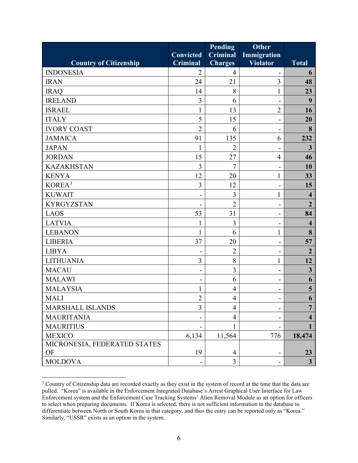|                               |                 | <b>Pending</b>  | <b>Other</b>                 |                         |
|-------------------------------|-----------------|-----------------|------------------------------|-------------------------|
|                               | Convicted       | <b>Criminal</b> | <b>Immigration</b>           |                         |
| <b>Country of Citizenship</b> | <b>Criminal</b> | <b>Charges</b>  | <b>Violator</b>              | <b>Total</b>            |
| <b>INDONESIA</b>              | $\overline{2}$  | 4               |                              | 6                       |
| <b>IRAN</b>                   | 24              | 21              | 3                            | 48                      |
| <b>IRAQ</b>                   | 14              | 8               | $\mathbf{1}$                 | 23                      |
| <b>IRELAND</b>                | 3               | 6               |                              | 9                       |
| <b>ISRAEL</b>                 | $\mathbf{1}$    | 13              | $\overline{2}$               | 16                      |
| <b>ITALY</b>                  | 5               | 15              | $\overline{\phantom{0}}$     | 20                      |
| <b>IVORY COAST</b>            | $\overline{2}$  | 6               |                              | 8                       |
| <b>JAMAICA</b>                | 91              | 135             | 6                            | 232                     |
| <b>JAPAN</b>                  | 1               | $\overline{2}$  |                              | $\overline{\mathbf{3}}$ |
| <b>JORDAN</b>                 | 15              | 27              | $\overline{4}$               | 46                      |
| <b>KAZAKHSTAN</b>             | $\overline{3}$  | $\overline{7}$  | -                            | 10                      |
| <b>KENYA</b>                  | 12              | 20              | $\mathbf{1}$                 | 33                      |
| KOREA <sup>3</sup>            | $\overline{3}$  | 12              |                              | 15                      |
| <b>KUWAIT</b>                 |                 | $\overline{3}$  | $\mathbf{1}$                 | $\overline{\mathbf{4}}$ |
| <b>KYRGYZSTAN</b>             |                 | $\overline{2}$  | $\blacksquare$               | $\overline{2}$          |
| <b>LAOS</b>                   | 53              | 31              | $\blacksquare$               | 84                      |
| <b>LATVIA</b>                 | $\mathbf{1}$    | $\overline{3}$  |                              | $\overline{\mathbf{4}}$ |
| <b>LEBANON</b>                | 1               | 6               | 1                            | 8                       |
| <b>LIBERIA</b>                | 37              | 20              | $\qquad \qquad \blacksquare$ | 57                      |
| <b>LIBYA</b>                  | $\overline{a}$  | $\overline{2}$  | $\blacksquare$               | $\overline{2}$          |
| <b>LITHUANIA</b>              | 3               | 8               | 1                            | 12                      |
| <b>MACAU</b>                  |                 | $\overline{3}$  | $\overline{\phantom{a}}$     | $\overline{\mathbf{3}}$ |
| <b>MALAWI</b>                 | $\overline{a}$  | 6               | $\blacksquare$               | 6                       |
| <b>MALAYSIA</b>               |                 | $\overline{4}$  |                              | 5                       |
| <b>MALI</b>                   | $\overline{2}$  | $\overline{4}$  | $\qquad \qquad \blacksquare$ | 6                       |
| <b>MARSHALL ISLANDS</b>       | 3               | $\overline{4}$  |                              | $\overline{7}$          |
| <b>MAURITANIA</b>             |                 | 4               |                              | 4                       |
| <b>MAURITIUS</b>              |                 | 1               |                              |                         |
| <b>MEXICO</b>                 | 6,134           | 11,564          | 776                          | 18,474                  |
| MICRONESIA, FEDERATED STATES  |                 |                 |                              |                         |
| OF                            | 19              | $\overline{4}$  |                              | 23                      |
| <b>MOLDOVA</b>                | -               | $\overline{3}$  |                              | $\mathbf{3}$            |

<span id="page-9-0"></span> differentiate between North or South Korea in that category, and thus the entry can be reported only as "Korea." Similarly, "USSR" exists as an option in the system. <sup>3</sup> Country of Citizenship data are recorded exactly as they exist in the system of record at the time that the data are pulled. "Korea" is available in the Enforcement Integrated Database's Arrest Graphical User Interface for Law Enforcement system and the Enforcement Case Tracking Systems' Alien Removal Module as an option for officers to select when preparing documents. If Korea is selected, there is not sufficient information in the database to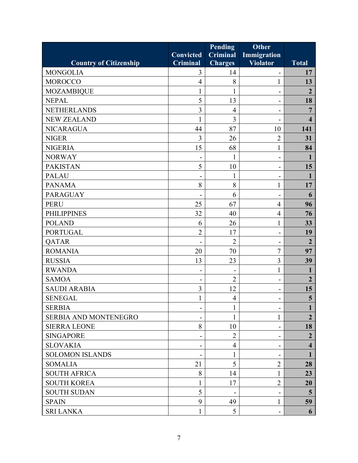|                               |                  | <b>Pending</b>  | <b>Other</b>                 |                         |
|-------------------------------|------------------|-----------------|------------------------------|-------------------------|
|                               | <b>Convicted</b> | <b>Criminal</b> | <b>Immigration</b>           |                         |
| <b>Country of Citizenship</b> | <b>Criminal</b>  | <b>Charges</b>  | <b>Violator</b>              | <b>Total</b>            |
| <b>MONGOLIA</b>               | 3                | 14              |                              | 17                      |
| <b>MOROCCO</b>                | $\overline{4}$   | 8               | 1                            | 13                      |
| <b>MOZAMBIQUE</b>             | 1                | $\mathbf{1}$    | $\blacksquare$               | $\overline{2}$          |
| <b>NEPAL</b>                  | 5                | 13              |                              | 18                      |
| <b>NETHERLANDS</b>            | $\overline{3}$   | $\overline{4}$  | $\qquad \qquad \blacksquare$ | 7                       |
| <b>NEW ZEALAND</b>            | 1                | 3               | $\blacksquare$               | $\overline{\mathbf{4}}$ |
| <b>NICARAGUA</b>              | 44               | 87              | 10                           | 141                     |
| <b>NIGER</b>                  | 3                | 26              | $\overline{2}$               | 31                      |
| <b>NIGERIA</b>                | 15               | 68              | $\mathbf{1}$                 | 84                      |
| <b>NORWAY</b>                 | $\blacksquare$   | $\mathbf{1}$    | $\overline{\phantom{a}}$     | $\mathbf{1}$            |
| <b>PAKISTAN</b>               | 5                | 10              |                              | 15                      |
| <b>PALAU</b>                  | -                | 1               | $\overline{\phantom{a}}$     | 1                       |
| <b>PANAMA</b>                 | 8                | 8               | 1                            | 17                      |
| <b>PARAGUAY</b>               |                  | 6               | $\overline{\phantom{0}}$     | 6                       |
| <b>PERU</b>                   | 25               | 67              | $\overline{4}$               | 96                      |
| <b>PHILIPPINES</b>            | 32               | 40              | $\overline{4}$               | 76                      |
| <b>POLAND</b>                 | 6                | 26              | $\mathbf{1}$                 | 33                      |
| <b>PORTUGAL</b>               | $\overline{2}$   | 17              | $\overline{\phantom{a}}$     | 19                      |
| <b>QATAR</b>                  |                  | $\overline{2}$  |                              | $\overline{2}$          |
| <b>ROMANIA</b>                | 20               | 70              | 7                            | 97                      |
| <b>RUSSIA</b>                 | 13               | 23              | 3                            | 39                      |
| <b>RWANDA</b>                 | -                |                 | $\mathbf{1}$                 | 1                       |
| <b>SAMOA</b>                  |                  | $\overline{2}$  | $\blacksquare$               | $\overline{2}$          |
| <b>SAUDI ARABIA</b>           | 3                | 12              | $\overline{\phantom{a}}$     | 15                      |
| <b>SENEGAL</b>                | 1                | $\overline{4}$  | $\blacksquare$               | 5                       |
| <b>SERBIA</b>                 | -                | 1               |                              | $\mathbf 1$             |
| SERBIA AND MONTENEGRO         |                  |                 | 1                            | $\overline{2}$          |
| <b>SIERRA LEONE</b>           | 8                | 10              | $\overline{\phantom{a}}$     | 18                      |
| <b>SINGAPORE</b>              | $\blacksquare$   | $\overline{2}$  | $\overline{\phantom{0}}$     | $\overline{2}$          |
| <b>SLOVAKIA</b>               |                  | $\overline{4}$  |                              | $\overline{\mathbf{4}}$ |
| <b>SOLOMON ISLANDS</b>        | -                | $\mathbf{1}$    | $\overline{\phantom{a}}$     |                         |
| <b>SOMALIA</b>                | 21               | 5               | $\overline{2}$               | 28                      |
| <b>SOUTH AFRICA</b>           | 8                | 14              | 1                            | 23                      |
| <b>SOUTH KOREA</b>            | 1                | 17              | $\overline{2}$               | 20                      |
| <b>SOUTH SUDAN</b>            | 5                |                 | $\overline{\phantom{a}}$     | $5\overline{)}$         |
| <b>SPAIN</b>                  | 9                | 49              | 1                            | 59                      |
| <b>SRI LANKA</b>              | 1                | 5               | $\overline{\phantom{a}}$     | 6                       |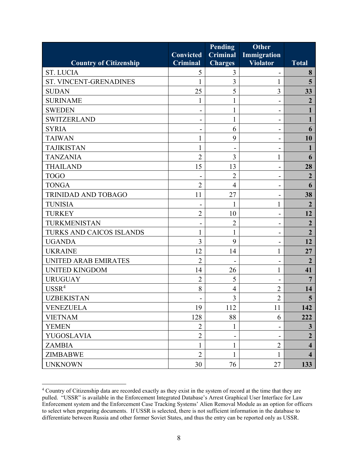|                               |                  | <b>Pending</b>  | <b>Other</b>                 |                         |
|-------------------------------|------------------|-----------------|------------------------------|-------------------------|
|                               | <b>Convicted</b> | <b>Criminal</b> | Immigration                  |                         |
| <b>Country of Citizenship</b> | <b>Criminal</b>  | <b>Charges</b>  | <b>Violator</b>              | <b>Total</b>            |
| <b>ST. LUCIA</b>              | 5                | 3               |                              | 8                       |
| ST. VINCENT-GRENADINES        | 1                | 3               | 1                            | 5                       |
| <b>SUDAN</b>                  | 25               | 5               | 3                            | 33                      |
| <b>SURINAME</b>               | 1                | 1               |                              | $\overline{2}$          |
| <b>SWEDEN</b>                 |                  | 1               |                              |                         |
| <b>SWITZERLAND</b>            | ۰                | $\mathbf{1}$    | $\qquad \qquad \blacksquare$ | 1                       |
| <b>SYRIA</b>                  |                  | 6               |                              | 6                       |
| <b>TAIWAN</b>                 |                  | 9               |                              | 10                      |
| <b>TAJIKISTAN</b>             |                  | $\overline{a}$  |                              |                         |
| <b>TANZANIA</b>               | $\overline{2}$   | 3               | 1                            | 6                       |
| <b>THAILAND</b>               | 15               | 13              |                              | 28                      |
| <b>TOGO</b>                   |                  | $\overline{2}$  | -                            | $\overline{2}$          |
| <b>TONGA</b>                  | $\overline{2}$   | $\overline{4}$  |                              | 6                       |
| <b>TRINIDAD AND TOBAGO</b>    | 11               | 27              |                              | 38                      |
| <b>TUNISIA</b>                |                  |                 | 1                            | $\overline{2}$          |
| <b>TURKEY</b>                 | $\overline{2}$   | 10              |                              | 12                      |
| TURKMENISTAN                  |                  | $\overline{2}$  |                              | $\overline{2}$          |
| TURKS AND CAICOS ISLANDS      |                  | 1               | $\blacksquare$               | $\overline{2}$          |
| <b>UGANDA</b>                 | 3                | 9               |                              | 12                      |
| <b>UKRAINE</b>                | 12               | 14              | 1                            | 27                      |
| <b>UNITED ARAB EMIRATES</b>   | $\overline{2}$   |                 |                              | $\overline{2}$          |
| <b>UNITED KINGDOM</b>         | 14               | 26              | 1                            | 41                      |
| <b>URUGUAY</b>                | $\overline{2}$   | 5               |                              | $\overline{7}$          |
| USSR <sup>4</sup>             | 8                | $\overline{4}$  | $\overline{2}$               | 14                      |
| <b>UZBEKISTAN</b>             |                  | 3               | $\overline{2}$               | $5\overline{)}$         |
| <b>VENEZUELA</b>              | 19               | 112             | 11                           | 142                     |
| <b>VIETNAM</b>                | 128              | 88              | 6                            | 222                     |
| <b>YEMEN</b>                  | $\overline{2}$   | $\mathbf{1}$    |                              | $\mathbf{3}$            |
| <b>YUGOSLAVIA</b>             | $\overline{2}$   |                 |                              | $\overline{2}$          |
| <b>ZAMBIA</b>                 | 1                | 1               | $\overline{2}$               | $\overline{\mathbf{4}}$ |
| <b>ZIMBABWE</b>               | $\overline{2}$   | $\mathbf{1}$    | $\mathbf{1}$                 | $\overline{\mathbf{4}}$ |
| <b>UNKNOWN</b>                | 30               | 76              | 27                           | 133                     |

<span id="page-11-0"></span><sup>&</sup>lt;sup>4</sup> Country of Citizenship data are recorded exactly as they exist in the system of record at the time that they are pulled. "USSR" is available in the Enforcement Integrated Database's Arrest Graphical User Interface for Law Enforcement system and the Enforcement Case Tracking Systems' Alien Removal Module as an option for officers to select when preparing documents. If USSR is selected, there is not sufficient information in the database to differentiate between Russia and other former Soviet States, and thus the entry can be reported only as USSR.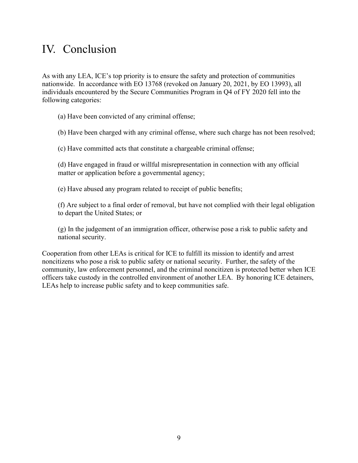#### <span id="page-12-0"></span>IV. Conclusion

 individuals encountered by the Secure Communities Program in Q4 of FY 2020 fell into the As with any LEA, ICE's top priority is to ensure the safety and protection of communities nationwide. In accordance with EO 13768 (revoked on January 20, 2021, by EO 13993), all following categories:

(a) Have been convicted of any criminal offense;

(b) Have been charged with any criminal offense, where such charge has not been resolved;

(c) Have committed acts that constitute a chargeable criminal offense;

(d) Have engaged in fraud or willful misrepresentation in connection with any official matter or application before a governmental agency;

(e) Have abused any program related to receipt of public benefits;

 (f) Are subject to a final order of removal, but have not complied with their legal obligation to depart the United States; or

(g) In the judgement of an immigration officer, otherwise pose a risk to public safety and national security.

Cooperation from other LEAs is critical for ICE to fulfill its mission to identify and arrest noncitizens who pose a risk to public safety or national security. Further, the safety of the community, law enforcement personnel, and the criminal noncitizen is protected better when ICE officers take custody in the controlled environment of another LEA. By honoring ICE detainers, LEAs help to increase public safety and to keep communities safe.